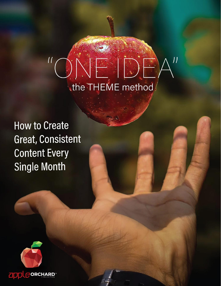# NESS  $\overline{11}$  $\overline{\mathcal{U}}$ the THEME method

**How to Create** Great, Consistent **Content Every Single Month** 

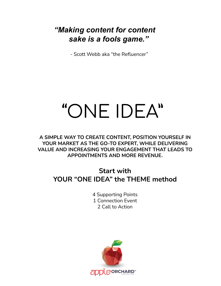# *"Making content for content sake is a fools game."*

- Scott Webb aka "the Refluencer"

# "ONE IDEA"

**A SIMPLE WAY TO CREATE CONTENT, POSITION YOURSELF IN YOUR MARKET AS THE GO-TO EXPERT, WHILE DELIVERING VALUE AND INCREASING YOUR ENGAGEMENT THAT LEADS TO APPOINTMENTS AND MORE REVENUE.**

## **Start with YOUR "ONE IDEA" the THEME method**

4 Supporting Points 1 Connection Event 2 Call to Action

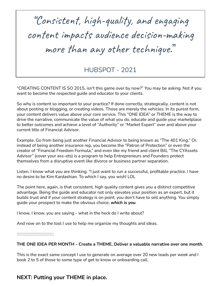"Consistent, high-quality, and engaging content impacts audience decision-making more than any other technique."

HUBSPOT - 2021

"CREATING CONTENT IS SO 2015, isn't this game over by now?" You may be asking. Not if you want to become the respected guide and educator to your clients.

So why is content so important to your practice? If done correctly, strategically, content is not about posting or blogging, or creating videos. Those are merely the vehicles. In its purest form, your content delivers value above your core service. This "ONE IDEA" or THEME is the way to drive the narrative, communicate the value of what you do, educate and guide your marketplace to better outcomes and achieve a level of "Authority" or "Market Expert" over and above your current title of Financial Advisor.

Example. Go from being just another Financial Advisor to being known as "The 401 King." Or, instead of being another insurance rep, you become the "Patron of Protection" or even the creator of "Financial Freedom Formula," and even like my friend and client Bill, "The CYAssets Advisor" (cover your ass-ets) is a program to help Entrepreneurs and Founders protect themselves from a disruptive event like divorce or business partner separation.

Listen, I know what you are thinking. "I just want to run a successful, profitable practice, I have no desire to be Kim Kardashian. To which I say, you wish! LOL

The point here, again, is that consistent, high quality content gives you a distinct competitive advantage. Being the guide and educator not only elevates your position as an expert, but it builds trust and if your content strategy is on point, you don't have to sell anything. You simply guide your prospect to make the obvious choice, *which is you*.

I know, I know, you are saying - what in the heck do I write about?

And now on to the tool I use to help me organize my thoughts and ideas.

:::::::::::::::::::::::::::::::

#### **THE ONE IDEA PER MONTH - Create a THEME, Deliver a valuable narrative over one month.**

This is the exact same concept I use to generate on average over 20 new leads per week and I book 2 to 5 of those to some type of get to know or onboarding call.

#### **NEXT: Putting your THEME in place.**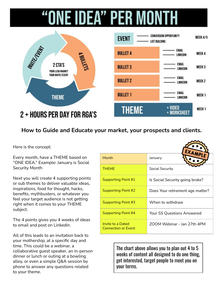# **ONE IDEA" PER MONTH**



#### **How to Guide and Educate your market, your prospects and clients.**

Here is the concept:

Every month, have a THEME based on "ONE IDEA." Example: January is Social Security Month

Next you will create 4 supporting points or sub themes to deliver valuable ideas, inspirations, food for thought, hacks, benefits, mythbusters, or whatever you feel your target audience is not getting right when it comes to your THEME subject.

The 4 points gives you 4 weeks of ideas to email and post on Linkedin.

All of this leads to an invitation back to your mothership, at a specific day and time. This could be a webinar, a collaborative guest speaker, an in-person dinner or lunch or outing at a bowling alley, or even a simple Q&A session by phone to answer any questions related to your theme.

|                                                 | EXA                               |
|-------------------------------------------------|-----------------------------------|
| Month                                           | January                           |
| <b>THEME</b>                                    | <b>Social Security</b>            |
| Supporting Point #1                             | Is Social Security going broke?   |
| Supporting Point #2                             | Does Your retirement age matter?  |
| Supporting Point #3                             | When to withdraw                  |
| Supporting Point #4                             | <b>Your SS Questions Answered</b> |
| Invite to a Dated<br><b>Connection or Event</b> | ZOOM Webinar - Jan 27th 4PM       |

The chart above allows you to plan out 4 to 5 weeks of content all designed to do one thing, get interested, target people to meet you on your terms.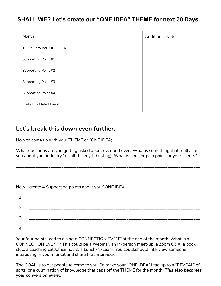#### **SHALL WE? Let's create our "ONE IDEA" THEME for next 30 Days.**

| Month                   | <b>Additional Notes</b> |
|-------------------------|-------------------------|
| THEME around "ONE IDEA" |                         |
| Supporting Point #1     |                         |
| Supporting Point #2     |                         |
| Supporting Point #3     |                         |
| Supporting Point #4     |                         |
| Invite to a Dated Event |                         |

#### **Let's break this down even further.**

How to come up with your THEME or "ONE IDEA;

What questions are you getting asked about over and over? What is something that really irks you about your industry? (I call this myth busting). What is a major pain point for your clients?

\_\_\_\_\_\_\_\_\_\_\_\_\_\_\_\_\_\_\_\_\_\_\_\_\_\_\_\_\_\_\_\_\_\_\_\_\_\_\_\_\_\_\_\_\_\_\_\_\_\_\_\_\_\_\_\_\_\_\_\_\_\_\_\_\_\_\_\_\_\_\_\_\_\_\_\_\_\_\_\_\_\_\_\_\_

\_\_\_\_\_\_\_\_\_\_\_\_\_\_\_\_\_\_\_\_\_\_\_\_\_\_\_\_\_\_\_\_\_\_\_\_\_\_\_\_\_\_\_\_\_\_\_\_\_\_\_\_\_\_\_\_\_\_\_\_\_\_\_\_\_\_\_\_\_\_\_\_\_\_\_\_\_\_\_\_\_\_\_\_\_

Now - create 4 Supporting points about your"ONE IDEA"

| ∽ |           |
|---|-----------|
| ີ | _________ |
|   |           |

Your four points lead to a single CONNECTION EVENT at the end of the month. What is a CONNECTION EVENT? This could be a Webinar, an In-person meet-up, a Zoom Q&A, a book club, a coaching call/office hours, a Lunch-N-Learn. You could/should interview someone interesting in your market and share that interview.

The GOAL is to get people to come to you. So make your "ONE IDEA" lead up to a "REVEAL" of sorts, or a culmination of knowledge that caps off the THEME for the month. *This also becomes your conversion event.*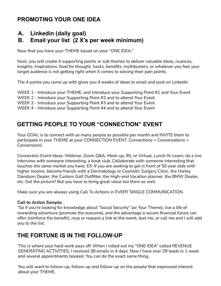### **PROMOTING YOUR ONE IDEA**

#### **A. Linkedin (daily goal) B. Email your list (2 X's per week minimum)**

Now that you have your THEME based on your "ONE IDEA."

Next, you will create 4 supporting points or sub themes to deliver valuable ideas, nuances, insights, inspirations, food for thought, hacks, benefits, mythbusters, or whatever you feel your target audience is not getting right when it comes to solving their pain points.

The 4 points you come up with gives you 4 weeks of ideas to email and post on Linkedin

WEEK 1 - Introduce your THEME, and Introduce your Supporting Point #1 and Your Event

WEEK 2 - Introduce your Supporting Point #2 and to attend Your Event

WEEK 3 - Introduce your Supporting Point #3 and to attend Your Event

WEEK 4 - Introduce your Supporting Point #4 and to attend Your Event

#### **GETTING PEOPLE TO YOUR "CONNECTION" EVENT**

Your GOAL is to connect with as many people as possible per month and INVITE them to participate in your THEME at your CONNECTION EVENT. Connections = Conversations = Conversions!

Connection Event Ideas: Webinar, Zoom Q&A, Meet-up, IRL or Virtual, Lunch-N-Learn, do a live interview with someone interesting, a book club, Collaborate with someone interesting that touches the same market you have. EX: If you are seeking to get in front of 50 year olds with higher income, become friends with a Dermatology or Cosmetic Surgery Clinic, the Harley Davidson Dealer, the Custom Golf Outfitter, the High-end Vacation planner, the BMW Dealer, etc. Get the picture? But you have to bring great value too them as well.

Make sure you are always using Call To Actions in EVERY SINGLE COMMUNICATION.

#### *Call to Action Sample;*

"So if you're looking for knowledge about "Social Security" (or Your Theme), live a life of rewarding adventure (promote the outcome), and the advantage a secure financial future can offer (reinforce the benefit), rsvp or request a link to the event, text me, or call me and I will add you to the list.

#### **THE FORTUNE IS IN THE FOLLOW-UP**

This is where your hard work pays off. When I rolled out my "ONE IDEA" called REVENUE GENERATING ACTIVITIES, I received 38 emails in 4 days. Now I have over 29 leads in 1 week and several appointments booked. You can do the exact same thing.

You will want to follow-up, follow-up and follow-up on the people that expressed interest about your THEME.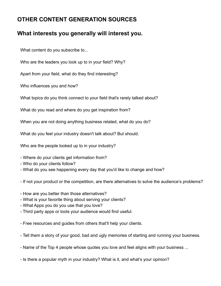### **OTHER CONTENT GENERATION SOURCES**

#### **What interests you generally will interest you.**

What content do you subscribe to...

Who are the leaders you look up to in your field? Why?

Apart from your field, what do they find interesting?

Who influences you and how?

What topics do you think connect to your field that's rarely talked about?

What do you read and where do you get inspiration from?

When you are not doing anything business related, what do you do?

What do you feel your industry doesn't talk about? But should.

Who are the people looked up to in your industry?

- Where do your clients get information from?
- Who do your clients follow?
- What do you see happening every day that you'd like to change and how?
- If not your product or the competition, are there alternatives to solve the audience's problems?
- How are you better than those alternatives?
- What is your favorite thing about serving your clients?
- What Apps you do you use that you love?
- Third party apps or tools your audience would find useful.
- Free resources and guides from others that'll help your clients.
- Tell them a story of your good, bad and ugly memories of starting and running your business.
- Name of the Top 4 people whose quotes you love and feel aligns with your business ...
- Is there a popular myth in your industry? What is it, and what's your opinion?